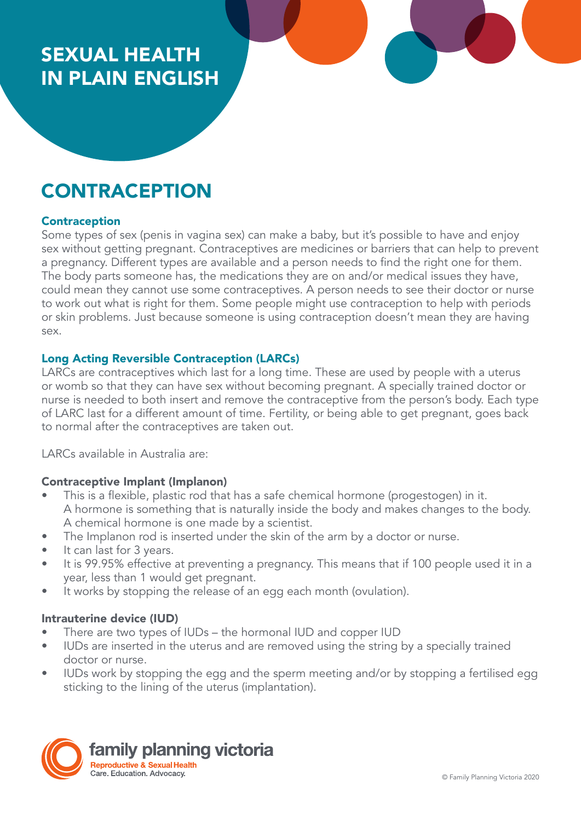# SEXUAL HEALTH IN PLAIN ENGLISH

# **CONTRACEPTION**

#### Contraception

Some types of sex (penis in vagina sex) can make a baby, but it's possible to have and enjoy sex without getting pregnant. Contraceptives are medicines or barriers that can help to prevent a pregnancy. Different types are available and a person needs to find the right one for them. The body parts someone has, the medications they are on and/or medical issues they have, could mean they cannot use some contraceptives. A person needs to see their doctor or nurse to work out what is right for them. Some people might use contraception to help with periods or skin problems. Just because someone is using contraception doesn't mean they are having sex.

# Long Acting Reversible Contraception (LARCs)

LARCs are contraceptives which last for a long time. These are used by people with a uterus or womb so that they can have sex without becoming pregnant. A specially trained doctor or nurse is needed to both insert and remove the contraceptive from the person's body. Each type of LARC last for a different amount of time. Fertility, or being able to get pregnant, goes back to normal after the contraceptives are taken out.

LARCs available in Australia are:

#### Contraceptive Implant (Implanon)

- This is a flexible, plastic rod that has a safe chemical hormone (progestogen) in it. A hormone is something that is naturally inside the body and makes changes to the body. A chemical hormone is one made by a scientist.
- The Implanon rod is inserted under the skin of the arm by a doctor or nurse.
- It can last for 3 years.
- It is 99.95% effective at preventing a pregnancy. This means that if 100 people used it in a year, less than 1 would get pregnant.
- It works by stopping the release of an egg each month (ovulation).

#### Intrauterine device (IUD)

- There are two types of IUDs the hormonal IUD and copper IUD
- IUDs are inserted in the uterus and are removed using the string by a specially trained doctor or nurse.
- IUDs work by stopping the egg and the sperm meeting and/or by stopping a fertilised egg sticking to the lining of the uterus (implantation).

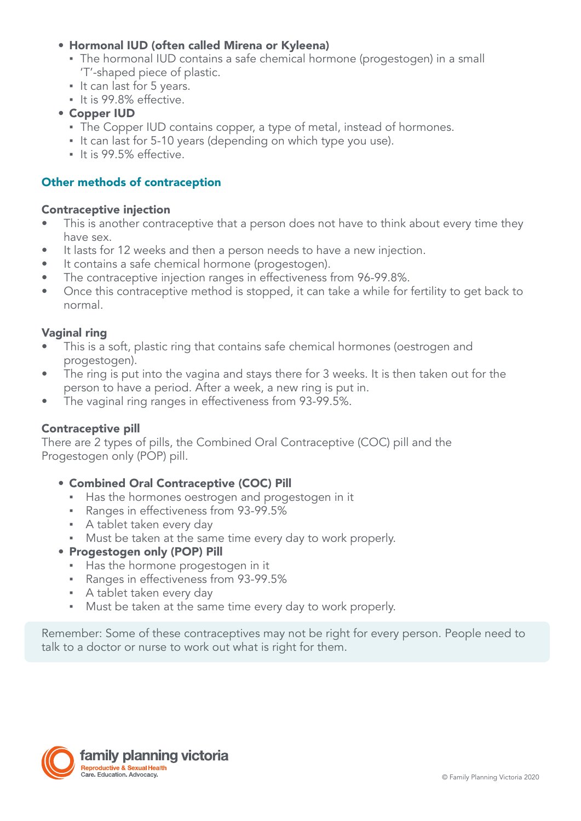# • Hormonal IUD (often called Mirena or Kyleena)

- The hormonal IUD contains a safe chemical hormone (progestogen) in a small 'T'-shaped piece of plastic.
- It can last for 5 years.
- It is 99.8% effective.
- Copper IUD
	- **The Copper IUD contains copper, a type of metal, instead of hormones.**
	- It can last for 5-10 years (depending on which type you use).
	- It is 99.5% effective.

# Other methods of contraception

#### Contraceptive injection

- This is another contraceptive that a person does not have to think about every time they have sex.
- It lasts for 12 weeks and then a person needs to have a new injection.
- It contains a safe chemical hormone (progestogen).
- The contraceptive injection ranges in effectiveness from 96-99.8%.
- Once this contraceptive method is stopped, it can take a while for fertility to get back to normal.

# Vaginal ring

- This is a soft, plastic ring that contains safe chemical hormones (oestrogen and progestogen).
- The ring is put into the vagina and stays there for 3 weeks. It is then taken out for the person to have a period. After a week, a new ring is put in.
- The vaginal ring ranges in effectiveness from 93-99.5%.

#### Contraceptive pill

There are 2 types of pills, the Combined Oral Contraceptive (COC) pill and the Progestogen only (POP) pill.

- Combined Oral Contraceptive (COC) Pill
	- Has the hormones oestrogen and progestogen in it
	- Ranges in effectiveness from 93-99.5%
	- **A** tablet taken every day
	- Must be taken at the same time every day to work properly.
- Progestogen only (POP) Pill
	- Has the hormone progestogen in it
	- Ranges in effectiveness from 93-99.5%
	- **A tablet taken every day**
	- Must be taken at the same time every day to work properly.

Remember: Some of these contraceptives may not be right for every person. People need to talk to a doctor or nurse to work out what is right for them.

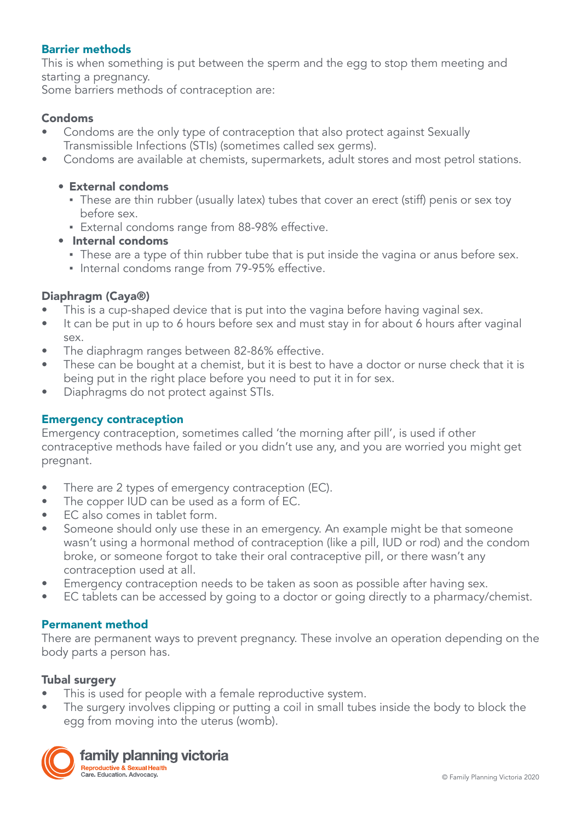### Barrier methods

This is when something is put between the sperm and the egg to stop them meeting and starting a pregnancy.

Some barriers methods of contraception are:

### Condoms

- Condoms are the only type of contraception that also protect against Sexually Transmissible Infections (STIs) (sometimes called sex germs).
- Condoms are available at chemists, supermarkets, adult stores and most petrol stations.

#### • External condoms

- These are thin rubber (usually latex) tubes that cover an erect (stiff) penis or sex toy before sex.
- **External condoms range from 88-98% effective.**
- Internal condoms
	- **•** These are a type of thin rubber tube that is put inside the vagina or anus before sex.
	- **Internal condoms range from 79-95% effective.**

#### Diaphragm (Caya®)

- This is a cup-shaped device that is put into the vagina before having vaginal sex.
- It can be put in up to 6 hours before sex and must stay in for about 6 hours after vaginal sex.
- The diaphragm ranges between 82-86% effective.
- These can be bought at a chemist, but it is best to have a doctor or nurse check that it is being put in the right place before you need to put it in for sex.
- Diaphragms do not protect against STIs.

#### Emergency contraception

Emergency contraception, sometimes called 'the morning after pill', is used if other contraceptive methods have failed or you didn't use any, and you are worried you might get pregnant.

- There are 2 types of emergency contraception (EC).
- The copper IUD can be used as a form of EC.
- EC also comes in tablet form.
- Someone should only use these in an emergency. An example might be that someone wasn't using a hormonal method of contraception (like a pill, IUD or rod) and the condom broke, or someone forgot to take their oral contraceptive pill, or there wasn't any contraception used at all.
- Emergency contraception needs to be taken as soon as possible after having sex.
- EC tablets can be accessed by going to a doctor or going directly to a pharmacy/chemist.

#### Permanent method

There are permanent ways to prevent pregnancy. These involve an operation depending on the body parts a person has.

#### Tubal surgery

- This is used for people with a female reproductive system.
- The surgery involves clipping or putting a coil in small tubes inside the body to block the egg from moving into the uterus (womb).



family planning victoria Reproductive & Sexual Health Care, Education, Advocacy.